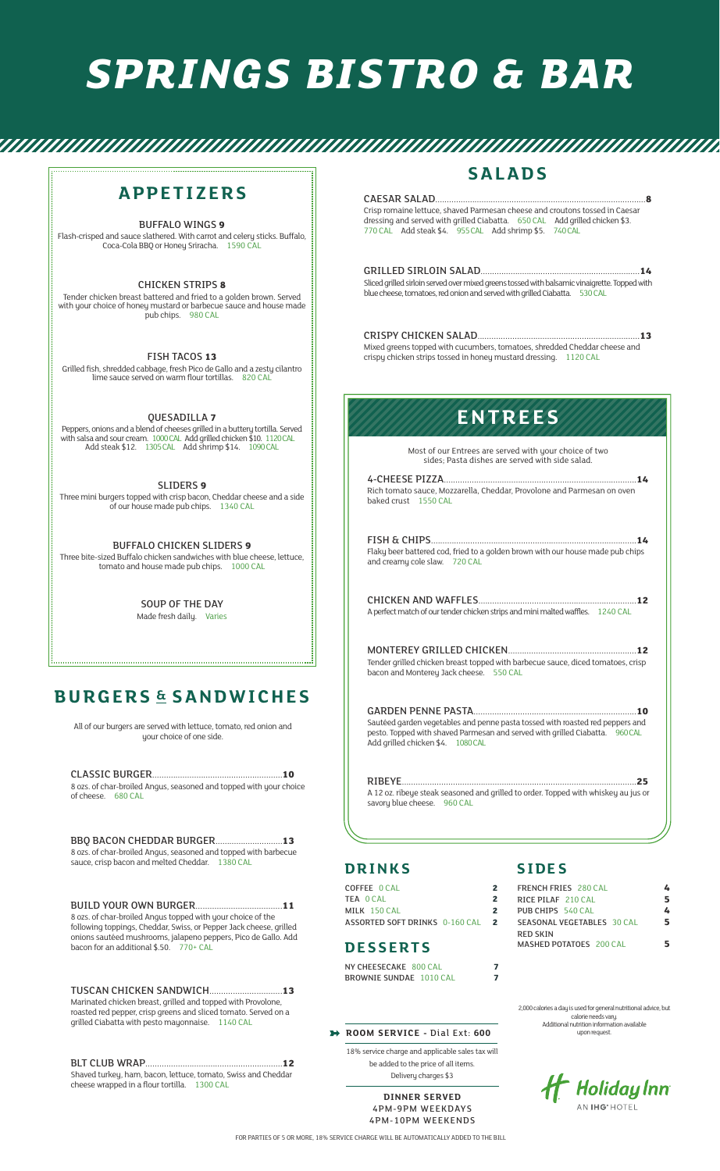# *SPRINGS BISTRO & BAR*

### **APPETIZERS**

BUFFALO WINGS **9** 

Flash-crisped and sauce slathered. With carrot and celery sticks. Buffalo, Coca-Cola BBQ or Honey Sriracha. 1590 CAL

CHICKEN STRIPS **8**  Tender chicken breast battered and fried to a golden brown. Served with your choice of honey mustard or barbecue sauce and house made pub chips. 980 CAL

FISH TACOS **13**  Grilled fish, shredded cabbage, fresh Pico de Gallo and a zesty cilantro lime sauce served on warm flour tortillas. 820 CAL

QUESADILLA **7** 

Peppers, onions and a blend of cheeses grilled in a buttery tortilla. Served<br>with salsa and sour cream. 1000 CAL Add grilled chicken \$10. 1120 CAL<br>Add steak \$12. 1305 CAL Add shrimp \$14. 1090 CAL

SLIDERS **9** 

Three mini burgers topped with crisp bacon, Cheddar cheese and a side of our house made pub chips. 1340 CAL

BUFFALO CHICKEN SLIDERS **9**  Three bite-sized Buffalo chicken sandwiches with blue cheese, lettuce, tomato and house made pub chips. 1000 CAL

> SOUP OF THE DAY Made fresh daily. Varies

## **BURGERS & SANDWICHES**

All of our burgers are served with lettuce, tomato, red onion and your choice of one side.

CLASSIC BURGER ........................................................**10**  8 ozs. of char-broiled Angus, seasoned and topped with your choice of cheese. 680 CAL

BBQ BACON CHEDDAR BURGER .............................**13**  8 ozs. of char-broiled Angus, seasoned and topped with barbecue sauce, crisp bacon and melted Cheddar. 1380 CAL

BUILD YOUR OWN BURGER .....................................**11**  8 ozs. of char-broiled Angus topped with your choice of the following toppings, Cheddar, Swiss, or Pepper Jack cheese, grilled onions sautéed mushrooms, jalapeno peppers, Pico de Gallo. Add bacon for an additional \$.50. 770+ CAL

TUSCAN CHICKEN SANDWICH ...............................**13**  Marinated chicken breast, grilled and topped with Provolone, roasted red pepper, crisp greens and sliced tomato. Served on a grilled Ciabatta with pesto mayonnaise. 1140 CAL

BLT CLUB WRAP ...........................................................**12**  Shaved turkey, ham, bacon, lettuce, tomato, Swiss and Cheddar cheese wrapped in a flour tortilla. 1300 CAL

### **SALADS**

CAESAR SALAD ...........................................................................................**8** 

Crisp romaine lettuce, shaved Parmesan cheese and croutons tossed in Caesar dressing and served with grilled Ciabatta. 650 CAL Add grilled chicken \$3. 770 CAL Add steak \$4. 955 CAL Add shrimp \$5. 740 CAL

GRILLED SIRLOIN SALAD .....................................................................**14**  Sliced grilled sirloin served over mixed greens tossed with balsamic vinaigrette. Topped with blue cheese, tomatoes, red onion and served with grilled Ciabatta. 530 CAL

CRISPY CHICKEN SALAD ......................................................................**13**  Mixed greens topped with cucumbers, tomatoes, shredded Cheddar cheese and crispy chicken strips tossed in honey mustard dressing. 1120 CAL

# **ENTREES**

Most of our Entrees are served with your choice of two sides; Pasta dishes are served with side salad.

4-CHEESE PIZZA ...................................................................................**14**  Rich tomato sauce, Mozzarella, Cheddar, Provolone and Parmesan on oven baked crust 1550 CAL

FISH & CHIPS .........................................................................................**14**  Flaky beer battered cod, fried to a golden brown with our house made pub chips and creamy cole slaw. 720 CAL

CHICKEN AND WAFFLES ....................................................................**12**  A perfect match of our tender chicken strips and mini malted waffles. 1240 CAL

MONTEREY GRILLED CHICKEN .......................................................**12**  Tender grilled chicken breast topped with barbecue sauce, diced tomatoes, crisp bacon and Monterey Jack cheese. 550 CAL

GARDEN PENNE PASTA ......................................................................**10**  Sautéed garden vegetables and penne pasta tossed with roasted red peppers and<br>pesto. Topped with shaved Parmesan and served with grilled Ciabatta. 960 CAL pesto. Topped with shaved Parmesan and served with grilled Ciabatta. 960 CAL Add grilled chicken \$4. 1080 CAL

RIBEYE .....................................................................................................**25**  A 12 oz. ribeye steak seasoned and grilled to order. Topped with whiskey au jus or savory blue cheese. 960 CAL

#### **DRINKS**

COFFEE 0 CAL **2**  TEA 0 CAL **2**  MILK 150 CAL **2**  ASSORTED SOFT DRINKS 0-160 CAL **2** 

#### **DESSERTS**

NY CHEESECAKE 800 CAL **7**  BROWNIE SUNDAE 1010 CAL **7** 

#### **ROOM SERVICE -** Dial Ext: **600**

18% service charge and applicable sales tax will be added to the price of all items. Delivery charges \$3

> **DINNER SERVED**  4PM-9PM WEEKDAYS 4PM-10PM WEEKENDS

#### **S IDE S**

| <b>FRENCH FRIES</b> 280 CAL         |   |
|-------------------------------------|---|
| RICE PILAE 210 CAL                  | 5 |
| PUB CHIPS 540 CAL                   |   |
| SEASONAL VEGETABLES 30 CAL          | 5 |
| RFD SKIN<br>MASHED POTATOES 200 CAL |   |

2,000 calories a day is used for general nutritional advice, but calorie needs vary. Additional nutrition information available upon request.